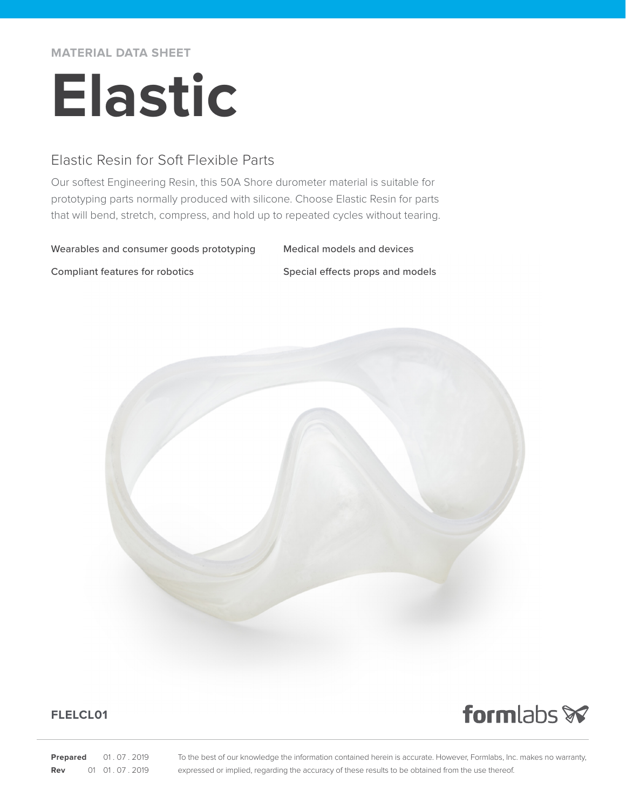**MATERIAL DATA SHEET**

# **Elastic**

## Elastic Resin for Soft Flexible Parts

Our softest Engineering Resin, this 50A Shore durometer material is suitable for prototyping parts normally produced with silicone. Choose Elastic Resin for parts that will bend, stretch, compress, and hold up to repeated cycles without tearing.

#### Wearables and consumer goods prototyping Medical models and devices

Compliant features for robotics Special effects props and models



### **FLELCL01**

formlabs **x** 

**Prepared** 01.07.2019 **Rev** 01 01 07 2019 To the best of our knowledge the information contained herein is accurate. However, Formlabs, Inc. makes no warranty, expressed or implied, regarding the accuracy of these results to be obtained from the use thereof.